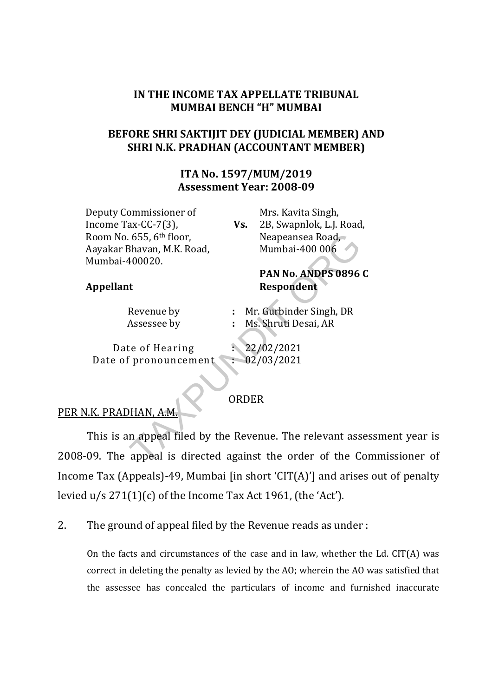## IN THE INCOME TAX APPELLATE TRIBUNAL MUMBAI BENCH "H" MUMBAI

## BEFORE SHRI SAKTIJIT DEY (JUDICIAL MEMBER) AND SHRI N.K. PRADHAN (ACCOUNTANT MEMBER)

## ITA No. 1597/MUM/2019 Assessment Year: 2008-09

Deputy Commissioner of Income Tax-CC-7(3), Room No. 655, 6th floor, Aayakar Bhavan, M.K. Road, Mumbai-400020.

Vs. Mrs. Kavita Singh, 2B, Swapnlok, L.J. Road, Neapeansea Road, Mumbai-400 006

PAN No. ANDPS 0896 C

#### Appellant Respondent

Revenue by : Mr. Gurbinder Singh, DR

Assessee by : Ms. Shruti Desai, AR

Date of Hearing : 22/02/2021 Date of pronouncement : 02/03/2021

#### ORDER

# PER N.K. PRADHAN, A.M.

This is an appeal filed by the Revenue. The relevant assessment year is 2008-09. The appeal is directed against the order of the Commissioner of Income Tax (Appeals)-49, Mumbai [in short 'CIT(A)'] and arises out of penalty levied u/s 271(1)(c) of the Income Tax Act 1961, (the 'Act'). . 655, 6th floor, Neapeansea Road,<br>
8havan, M.K. Road, Mumbai-400 006<br>
400020. **PAN No. ANDPS 0896**<br> **Revenue by** : Mr. Gurbinder Singh, DR<br>
Assessee by : Ms. Shruti Desai, AR<br>
te of Hearing : 22/02/2021<br>
f pronouncement

2. The ground of appeal filed by the Revenue reads as under :

On the facts and circumstances of the case and in law, whether the Ld. CIT(A) was correct in deleting the penalty as levied by the AO; wherein the AO was satisfied that the assessee has concealed the particulars of income and furnished inaccurate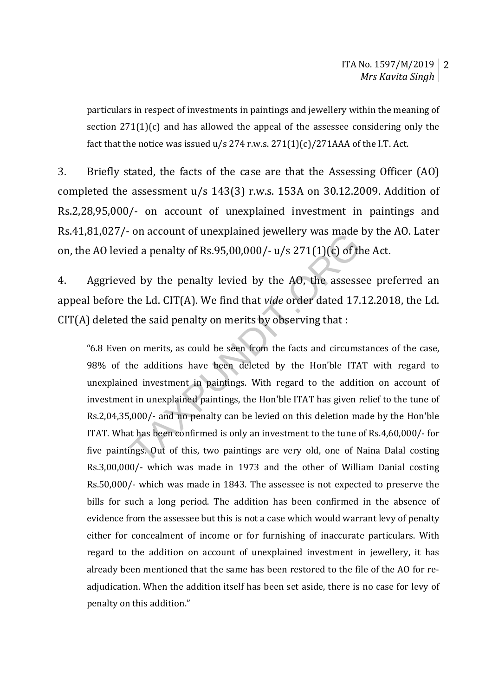particulars in respect of investments in paintings and jewellery within the meaning of section 271(1)(c) and has allowed the appeal of the assessee considering only the fact that the notice was issued  $u/s$  274 r.w.s.  $271(1)(c)/271AAA$  of the I.T. Act.

3. Briefly stated, the facts of the case are that the Assessing Officer (AO) completed the assessment u/s 143(3) r.w.s. 153A on 30.12.2009. Addition of Rs.2,28,95,000/- on account of unexplained investment in paintings and Rs.41,81,027/- on account of unexplained jewellery was made by the AO. Later on, the AO levied a penalty of Rs.95,00,000/-  $u/s 271(1)(c)$  of the Act.

4. Aggrieved by the penalty levied by the AO, the assessee preferred an appeal before the Ld. CIT(A). We find that vide order dated 17.12.2018, the Ld. CIT(A) deleted the said penalty on merits by observing that :

"6.8 Even on merits, as could be seen from the facts and circumstances of the case, 98% of the additions have been deleted by the Hon'ble ITAT with regard to unexplained investment in paintings. With regard to the addition on account of investment in unexplained paintings, the Hon'ble ITAT has given relief to the tune of Rs.2,04,35,000/- and no penalty can be levied on this deletion made by the Hon'ble ITAT. What has been confirmed is only an investment to the tune of Rs.4,60,000/- for five paintings. Out of this, two paintings are very old, one of Naina Dalal costing Rs.3,00,000/- which was made in 1973 and the other of William Danial costing Rs.50,000/- which was made in 1843. The assessee is not expected to preserve the bills for such a long period. The addition has been confirmed in the absence of evidence from the assessee but this is not a case which would warrant levy of penalty either for concealment of income or for furnishing of inaccurate particulars. With regard to the addition on account of unexplained investment in jewellery, it has already been mentioned that the same has been restored to the file of the AO for readjudication. When the addition itself has been set aside, there is no case for levy of penalty on this addition." on account of unexplained jewenery was made<br>ed a penalty of Rs.95,00,000/-  $u/s$  271(1)(c) of th<br>d by the penalty levied by the AO, the assess<br>the Ld. CIT(A). We find that *vide* order dated 17.<br>the said penalty on merits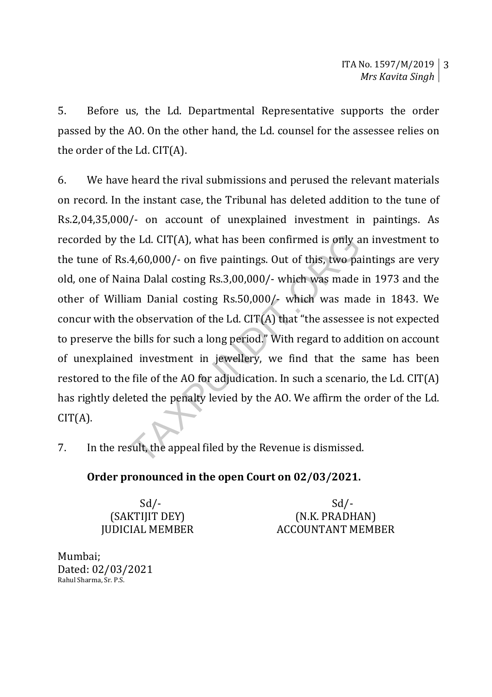5. Before us, the Ld. Departmental Representative supports the order passed by the AO. On the other hand, the Ld. counsel for the assessee relies on the order of the Ld. CIT(A).

6. We have heard the rival submissions and perused the relevant materials on record. In the instant case, the Tribunal has deleted addition to the tune of Rs.2,04,35,000/- on account of unexplained investment in paintings. As recorded by the Ld. CIT(A), what has been confirmed is only an investment to the tune of Rs.4,60,000/- on five paintings. Out of this, two paintings are very old, one of Naina Dalal costing Rs.3,00,000/- which was made in 1973 and the other of William Danial costing Rs.50,000/- which was made in 1843. We concur with the observation of the Ld. CIT(A) that "the assessee is not expected to preserve the bills for such a long period." With regard to addition on account of unexplained investment in jewellery, we find that the same has been restored to the file of the AO for adjudication. In such a scenario, the Ld. CIT(A) has rightly deleted the penalty levied by the AO. We affirm the order of the Ld.  $CIT(A).$ he Ld. CIT(A), what has been confirmed is only a 4,60,000/- on five paintings. Out of this, two pa<br>an Dalal costing Rs.3,00,000/- which was made<br>am Danial costing Rs.50,000/- which was made<br>e observation of the Ld. CIT(A)

7. In the result, the appeal filed by the Revenue is dismissed.

## Order pronounced in the open Court on 02/03/2021.

 $Sd$ - $Sd$ -(SAKTIJIT DEY) (N.K. PRADHAN) JUDICIAL MEMBER ACCOUNTANT MEMBER

Mumbai; Dated: 02/03/2021 Rahul Sharma, Sr. P.S.